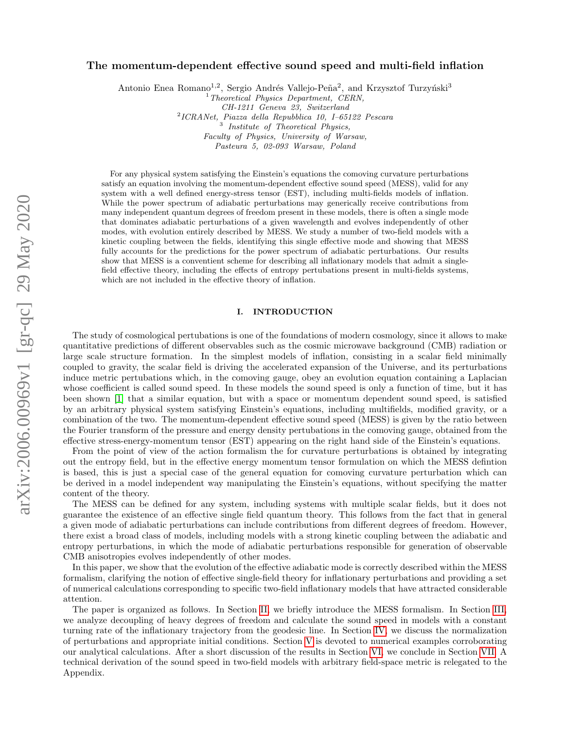# The momentum-dependent effective sound speed and multi-field inflation

Antonio Enea Romano<sup>1,2</sup>, Sergio Andrés Vallejo-Peña<sup>2</sup>, and Krzysztof Turzyński<sup>3</sup>

 $1$ <sup>1</sup> Theoretical Physics Department, CERN, CH-1211 Geneva 23, Switzerland

2 ICRANet, Piazza della Repubblica 10, I–65122 Pescara <sup>3</sup> Institute of Theoretical Physics, Faculty of Physics, University of Warsaw, Pasteura 5, 02-093 Warsaw, Poland

For any physical system satisfying the Einstein's equations the comoving curvature perturbations satisfy an equation involving the momentum-dependent effective sound speed (MESS), valid for any system with a well defined energy-stress tensor (EST), including multi-fields models of inflation. While the power spectrum of adiabatic perturbations may generically receive contributions from many independent quantum degrees of freedom present in these models, there is often a single mode that dominates adiabatic perturbations of a given wavelength and evolves independently of other modes, with evolution entirely described by MESS. We study a number of two-field models with a kinetic coupling between the fields, identifying this single effective mode and showing that MESS fully accounts for the predictions for the power spectrum of adiabatic perturbations. Our results show that MESS is a conventient scheme for describing all inflationary models that admit a singlefield effective theory, including the effects of entropy pertubations present in multi-fields systems, which are not included in the effective theory of inflation.

# I. INTRODUCTION

The study of cosmological pertubations is one of the foundations of modern cosmology, since it allows to make quantitative predictions of different observables such as the cosmic microwave background (CMB) radiation or large scale structure formation. In the simplest models of inflation, consisting in a scalar field minimally coupled to gravity, the scalar field is driving the accelerated expansion of the Universe, and its perturbations induce metric pertubations which, in the comoving gauge, obey an evolution equation containing a Laplacian whose coefficient is called sound speed. In these models the sound speed is only a function of time, but it has been shown [\[1\]](#page-15-0) that a similar equation, but with a space or momentum dependent sound speed, is satisfied by an arbitrary physical system satisfying Einstein's equations, including multifields, modified gravity, or a combination of the two. The momentum-dependent effective sound speed (MESS) is given by the ratio between the Fourier transform of the pressure and energy density pertubations in the comoving gauge, obtained from the effective stress-energy-momentum tensor (EST) appearing on the right hand side of the Einstein's equations.

From the point of view of the action formalism the for curvature perturbations is obtained by integrating out the entropy field, but in the effective energy momentum tensor formulation on which the MESS defintion is based, this is just a special case of the general equation for comoving curvature perturbation which can be derived in a model independent way manipulating the Einstein's equations, without specifying the matter content of the theory.

The MESS can be defined for any system, including systems with multiple scalar fields, but it does not guarantee the existence of an effective single field quantum theory. This follows from the fact that in general a given mode of adiabatic perturbations can include contributions from different degrees of freedom. However, there exist a broad class of models, including models with a strong kinetic coupling between the adiabatic and entropy perturbations, in which the mode of adiabatic perturbations responsible for generation of observable CMB anisotropies evolves independently of other modes.

In this paper, we show that the evolution of the effective adiabatic mode is correctly described within the MESS formalism, clarifying the notion of effective single-field theory for inflationary perturbations and providing a set of numerical calculations corresponding to specific two-field inflationary models that have attracted considerable attention.

The paper is organized as follows. In Section [II,](#page-1-0) we briefly introduce the MESS formalism. In Section [III,](#page-2-0) we analyze decoupling of heavy degrees of freedom and calculate the sound speed in models with a constant turning rate of the inflationary trajectory from the geodesic line. In Section [IV,](#page-4-0) we discuss the normalization of perturbations and appropriate initial conditions. Section [V](#page-8-0) is devoted to numerical examples corroborating our analytical calculations. After a short discussion of the results in Section [VI,](#page-12-0) we conclude in Section [VII.](#page-13-0) A technical derivation of the sound speed in two-field models with arbitrary field-space metric is relegated to the Appendix.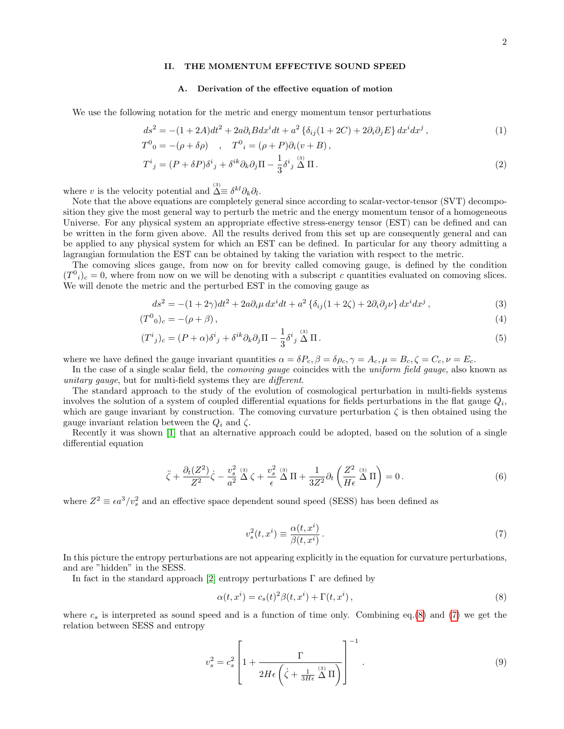# <span id="page-1-0"></span>II. THE MOMENTUM EFFECTIVE SOUND SPEED

## A. Derivation of the effective equation of motion

We use the following notation for the metric and energy momentum tensor perturbations

$$
ds^{2} = -(1+2A)dt^{2} + 2a\partial_{i}Bdx^{i}dt + a^{2}\left\{\delta_{ij}(1+2C) + 2\partial_{i}\partial_{j}E\right\}dx^{i}dx^{j},
$$
\n(1)

$$
T^0{}_0 = -(\rho + \delta \rho) \quad , \quad T^0{}_i = (\rho + P) \partial_i (v + B) \,,
$$

$$
T^i{}_j = (P + \delta P)\delta^i{}_j + \delta^{ik}\partial_k\partial_j\Pi - \frac{1}{3}\delta^i{}_j\stackrel{(3)}{\Delta}\Pi\,. \tag{2}
$$

where v is the velocity potential and  $\Delta \equiv \delta^{kl} \partial_k \partial_l$ .

Note that the above equations are completely general since according to scalar-vector-tensor (SVT) decomposition they give the most general way to perturb the metric and the energy momentum tensor of a homogeneous Universe. For any physical system an appropriate effective stress-energy tensor (EST) can be defined and can be written in the form given above. All the results derived from this set up are consequently general and can be applied to any physical system for which an EST can be defined. In particular for any theory admitting a lagrangian formulation the EST can be obtained by taking the variation with respect to the metric.

The comoving slices gauge, from now on for brevity called comoving gauge, is defined by the condition  $(T^0_i)_c = 0$ , where from now on we will be denoting with a subscript c quantities evaluated on comoving slices. We will denote the metric and the perturbed EST in the comoving gauge as

$$
ds^{2} = -(1+2\gamma)dt^{2} + 2a\partial_{i}\mu dx^{i}dt + a^{2}\left\{\delta_{ij}(1+2\zeta) + 2\partial_{i}\partial_{j}\nu\right\}dx^{i}dx^{j},
$$
\n(3)

$$
(T^{0}_{0})_{c} = -(\rho + \beta), \tag{4}
$$

$$
(T^i{}_j)_c = (P + \alpha)\delta^i{}_j + \delta^{ik}\partial_k\partial_j\Pi - \frac{1}{3}\delta^i{}_j\stackrel{(3)}{\Delta}\Pi\,. \tag{5}
$$

where we have defined the gauge invariant quantities  $\alpha = \delta P_c$ ,  $\beta = \delta \rho_c$ ,  $\gamma = A_c$ ,  $\mu = B_c$ ,  $\zeta = C_c$ ,  $\nu = E_c$ .

In the case of a single scalar field, the *comoving gauge* coincides with the *uniform field gauge*, also known as unitary gauge, but for multi-field systems they are *different*.

The standard approach to the study of the evolution of cosmological perturbation in multi-fields systems involves the solution of a system of coupled differential equations for fields perturbations in the flat gauge  $Q_i$ , which are gauge invariant by construction. The comoving curvature perturbation  $\zeta$  is then obtained using the gauge invariant relation between the  $Q_i$  and  $\zeta$ .

Recently it was shown [\[1\]](#page-15-0) that an alternative approach could be adopted, based on the solution of a single differential equation

$$
\ddot{\zeta} + \frac{\partial_t (Z^2)}{Z^2} \dot{\zeta} - \frac{v_s^2}{a^2} \stackrel{\text{(3)}}{\Delta} \zeta + \frac{v_s^2}{\epsilon} \stackrel{\text{(3)}}{\Delta} \Pi + \frac{1}{3Z^2} \partial_t \left( \frac{Z^2}{H \epsilon} \stackrel{\text{(3)}}{\Delta} \Pi \right) = 0 \,. \tag{6}
$$

where  $Z^2 \equiv \epsilon a^3/v_s^2$  and an effective space dependent sound speed (SESS) has been defined as

<span id="page-1-3"></span><span id="page-1-2"></span><span id="page-1-1"></span>
$$
v_s^2(t, x^i) \equiv \frac{\alpha(t, x^i)}{\beta(t, x^i)}.
$$
\n<sup>(7)</sup>

In this picture the entropy perturbations are not appearing explicitly in the equation for curvature perturbations, and are "hidden" in the SESS.

In fact in the standard approach [\[2\]](#page-15-1) entropy perturbations  $\Gamma$  are defined by

$$
\alpha(t, x^i) = c_s(t)^2 \beta(t, x^i) + \Gamma(t, x^i), \qquad (8)
$$

where  $c_s$  is interpreted as sound speed and is a function of time only. Combining eq.[\(8\)](#page-1-1) and [\(7\)](#page-1-2) we get the relation between SESS and entropy

$$
v_s^2 = c_s^2 \left[ 1 + \frac{\Gamma}{2H\epsilon \left( \dot{\zeta} + \frac{1}{3H\epsilon} \stackrel{(3)}{\Delta} \Pi \right)} \right]^{-1} . \tag{9}
$$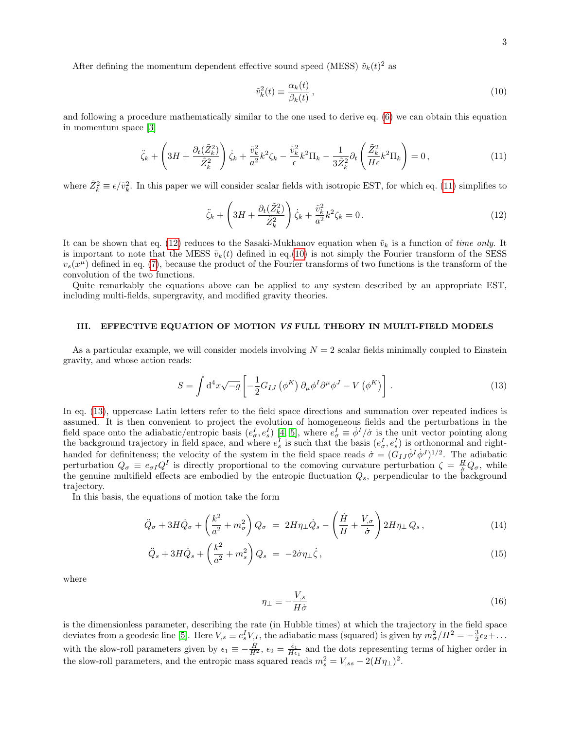After defining the momentum dependent effective sound speed (MESS)  $\tilde{v}_k(t)^2$  as

<span id="page-2-3"></span><span id="page-2-2"></span><span id="page-2-1"></span>
$$
\tilde{v}_k^2(t) \equiv \frac{\alpha_k(t)}{\beta_k(t)},\tag{10}
$$

and following a procedure mathematically similar to the one used to derive eq. [\(6\)](#page-1-3) we can obtain this equation in momentum space [\[3\]](#page-15-2)

$$
\ddot{\zeta}_k + \left(3H + \frac{\partial_t(\tilde{Z}_k^2)}{\tilde{Z}_k^2}\right)\dot{\zeta}_k + \frac{\tilde{v}_k^2}{a^2}k^2\zeta_k - \frac{\tilde{v}_k^2}{\epsilon}k^2\Pi_k - \frac{1}{3\tilde{Z}_k^2}\partial_t\left(\frac{\tilde{Z}_k^2}{H\epsilon}k^2\Pi_k\right) = 0,
$$
\n(11)

where  $\tilde{Z}_k^2 \equiv \epsilon/\tilde{v}_k^2$ . In this paper we will consider scalar fields with isotropic EST, for which eq. [\(11\)](#page-2-1) simplifies to

$$
\ddot{\zeta}_k + \left(3H + \frac{\partial_t(\tilde{Z}_k^2)}{\tilde{Z}_k^2}\right)\dot{\zeta}_k + \frac{\tilde{v}_k^2}{a^2}k^2\zeta_k = 0.
$$
\n(12)

It can be shown that eq. [\(12\)](#page-2-2) reduces to the Sasaki-Mukhanov equation when  $\tilde{v}_k$  is a function of time only. It is important to note that the MESS  $\tilde{v}_k(t)$  defined in eq.[\(10\)](#page-2-3) is not simply the Fourier transform of the SESS  $v_s(x^{\mu})$  defined in eq. [\(7\)](#page-1-2), because the product of the Fourier transforms of two functions is the transform of the convolution of the two functions.

Quite remarkably the equations above can be applied to any system described by an appropriate EST, including multi-fields, supergravity, and modified gravity theories.

## <span id="page-2-0"></span>III. EFFECTIVE EQUATION OF MOTION VS FULL THEORY IN MULTI-FIELD MODELS

As a particular example, we will consider models involving  $N = 2$  scalar fields minimally coupled to Einstein gravity, and whose action reads:

<span id="page-2-4"></span>
$$
S = \int d^4x \sqrt{-g} \left[ -\frac{1}{2} G_{IJ} \left( \phi^K \right) \partial_\mu \phi^I \partial^\mu \phi^J - V \left( \phi^K \right) \right]. \tag{13}
$$

In eq. [\(13\)](#page-2-4), uppercase Latin letters refer to the field space directions and summation over repeated indices is assumed. It is then convenient to project the evolution of homogeneous fields and the perturbations in the field space onto the adiabatic/entropic basis  $(e_\sigma^I, e_s^I)$  [\[4,](#page-15-3) [5\]](#page-15-4), where  $e_\sigma^I \equiv \dot{\phi}^I/\dot{\sigma}$  is the unit vector pointing along the background trajectory in field space, and where  $e_s^I$  is such that the basis  $(e_\sigma^I, e_s^I)$  is orthonormal and righthanded for definiteness; the velocity of the system in the field space reads  $\sigma = (G_{IJ}\dot{\phi}^I\dot{\phi}^J)^{1/2}$ . The adiabatic perturbation  $Q_{\sigma} \equiv e_{\sigma I} Q^{I}$  is directly proportional to the comoving curvature perturbation  $\zeta = \frac{H}{\sigma} Q_{\sigma}$ , while the genuine multifield effects are embodied by the entropic fluctuation  $Q_s$ , perpendicular to the background trajectory.

In this basis, the equations of motion take the form

<span id="page-2-5"></span>
$$
\ddot{Q}_{\sigma} + 3H\dot{Q}_{\sigma} + \left(\frac{k^2}{a^2} + m_{\sigma}^2\right)Q_{\sigma} = 2H\eta_{\perp}\dot{Q}_{s} - \left(\frac{\dot{H}}{H} + \frac{V_{,\sigma}}{\dot{\sigma}}\right)2H\eta_{\perp}Q_{s},\tag{14}
$$

$$
\ddot{Q}_s + 3H\dot{Q}_s + \left(\frac{k^2}{a^2} + m_s^2\right)Q_s = -2\dot{\sigma}\eta_\perp\dot{\zeta},\qquad(15)
$$

where

$$
\eta_{\perp} \equiv -\frac{V_{,s}}{H\dot{\sigma}}\tag{16}
$$

is the dimensionless parameter, describing the rate (in Hubble times) at which the trajectory in the field space deviates from a geodesic line [\[5\]](#page-15-4). Here  $V_{,s} \equiv e_s^I V_{,I}$ , the adiabatic mass (squared) is given by  $m_\sigma^2/H^2 = -\frac{3}{2}\epsilon_2 + \dots$ with the slow-roll parameters given by  $\epsilon_1 \equiv -\frac{\dot{H}}{H^2}$ ,  $\epsilon_2 = \frac{\dot{\epsilon}_1}{H\epsilon_1}$  and the dots representing terms of higher order in the slow-roll parameters, and the entropic mass squared reads  $m_s^2 = V_{;ss} - 2(H\eta_{\perp})^2$ .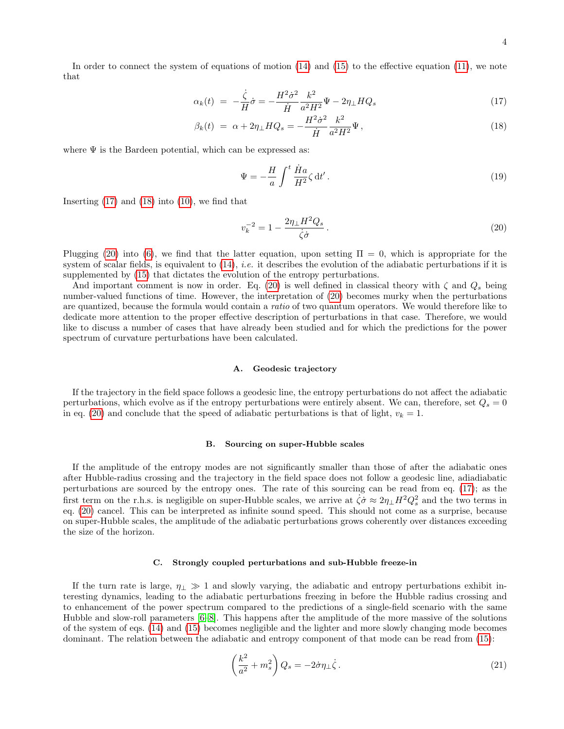In order to connect the system of equations of motion [\(14\)](#page-2-5) and [\(15\)](#page-2-5) to the effective equation [\(11\)](#page-2-1), we note that

<span id="page-3-0"></span>
$$
\alpha_k(t) = -\frac{\dot{\zeta}}{H}\dot{\sigma} = -\frac{H^2\dot{\sigma}^2}{\dot{H}}\frac{k^2}{a^2H^2}\Psi - 2\eta_{\perp}HQ_s \tag{17}
$$

$$
\beta_k(t) \ = \ \alpha + 2\eta_\perp H Q_s = -\frac{H^2 \dot{\sigma}^2}{\dot{H}} \frac{k^2}{a^2 H^2} \Psi \,, \tag{18}
$$

where  $\Psi$  is the Bardeen potential, which can be expressed as:

$$
\Psi = -\frac{H}{a} \int^t \frac{\dot{H}a}{H^2} \zeta \, \mathrm{d}t' \,. \tag{19}
$$

Inserting  $(17)$  and  $(18)$  into  $(10)$ , we find that

<span id="page-3-1"></span>
$$
v_k^{-2} = 1 - \frac{2\eta_\perp H^2 Q_s}{\dot{\zeta}\dot{\sigma}}\,. \tag{20}
$$

Plugging [\(20\)](#page-3-1) into [\(6\)](#page-1-3), we find that the latter equation, upon setting  $\Pi = 0$ , which is appropriate for the system of scalar fields, is equivalent to  $(14)$ , *i.e.* it describes the evolution of the adiabatic perturbations if it is supplemented by [\(15\)](#page-2-5) that dictates the evolution of the entropy perturbations.

And important comment is now in order. Eq. [\(20\)](#page-3-1) is well defined in classical theory with  $\zeta$  and  $Q_s$  being number-valued functions of time. However, the interpretation of [\(20\)](#page-3-1) becomes murky when the perturbations are quantized, because the formula would contain a ratio of two quantum operators. We would therefore like to dedicate more attention to the proper effective description of perturbations in that case. Therefore, we would like to discuss a number of cases that have already been studied and for which the predictions for the power spectrum of curvature perturbations have been calculated.

#### A. Geodesic trajectory

If the trajectory in the field space follows a geodesic line, the entropy perturbations do not affect the adiabatic perturbations, which evolve as if the entropy perturbations were entirely absent. We can, therefore, set  $Q_s = 0$ in eq. [\(20\)](#page-3-1) and conclude that the speed of adiabatic perturbations is that of light,  $v_k = 1$ .

### <span id="page-3-3"></span>B. Sourcing on super-Hubble scales

If the amplitude of the entropy modes are not significantly smaller than those of after the adiabatic ones after Hubble-radius crossing and the trajectory in the field space does not follow a geodesic line, adiadiabatic perturbations are sourced by the entropy ones. The rate of this sourcing can be read from eq. [\(17\)](#page-3-0); as the first term on the r.h.s. is negligible on super-Hubble scales, we arrive at  $\dot{\zeta}\dot{\sigma} \approx 2\eta_{\perp}H^2Q_s^2$  and the two terms in eq. [\(20\)](#page-3-1) cancel. This can be interpreted as infinite sound speed. This should not come as a surprise, because on super-Hubble scales, the amplitude of the adiabatic perturbations grows coherently over distances exceeding the size of the horizon.

#### C. Strongly coupled perturbations and sub-Hubble freeze-in

If the turn rate is large,  $\eta_{\perp} \gg 1$  and slowly varying, the adiabatic and entropy perturbations exhibit interesting dynamics, leading to the adiabatic perturbations freezing in before the Hubble radius crossing and to enhancement of the power spectrum compared to the predictions of a single-field scenario with the same Hubble and slow-roll parameters [\[6–](#page-15-5)[8\]](#page-15-6). This happens after the amplitude of the more massive of the solutions of the system of eqs. [\(14\)](#page-2-5) and [\(15\)](#page-2-5) becomes negligible and the lighter and more slowly changing mode becomes dominant. The relation between the adiabatic and entropy component of that mode can be read from [\(15\)](#page-2-5):

<span id="page-3-2"></span>
$$
\left(\frac{k^2}{a^2} + m_s^2\right) Q_s = -2\dot{\sigma}\eta_\perp \dot{\zeta} \,. \tag{21}
$$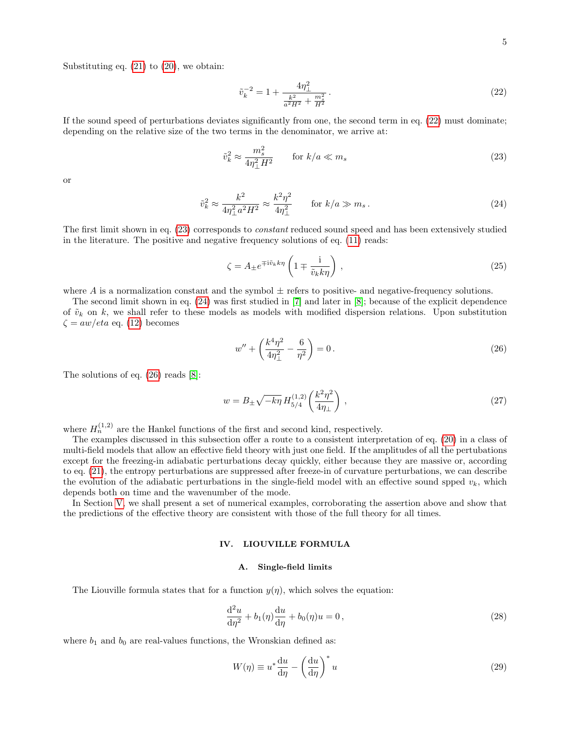Substituting eq.  $(21)$  to  $(20)$ , we obtain:

<span id="page-4-1"></span>
$$
\tilde{v}_k^{-2} = 1 + \frac{4\eta_\perp^2}{\frac{k^2}{a^2 H^2} + \frac{m_s^2}{H^2}}.\tag{22}
$$

If the sound speed of perturbations deviates significantly from one, the second term in eq. [\(22\)](#page-4-1) must dominate; depending on the relative size of the two terms in the denominator, we arrive at:

<span id="page-4-2"></span>
$$
\tilde{v}_k^2 \approx \frac{m_s^2}{4\eta_\perp^2 H^2} \qquad \text{for } k/a \ll m_s \tag{23}
$$

or

<span id="page-4-3"></span>
$$
\tilde{v}_k^2 \approx \frac{k^2}{4\eta_{\perp}^2 a^2 H^2} \approx \frac{k^2 \eta^2}{4\eta_{\perp}^2} \qquad \text{for } k/a \gg m_s \,. \tag{24}
$$

The first limit shown in eq. [\(23\)](#page-4-2) corresponds to constant reduced sound speed and has been extensively studied in the literature. The positive and negative frequency solutions of eq. [\(11\)](#page-2-1) reads:

<span id="page-4-5"></span>
$$
\zeta = A_{\pm} e^{\mp i \tilde{v}_k k \eta} \left( 1 \mp \frac{i}{\tilde{v}_k k \eta} \right), \qquad (25)
$$

where A is a normalization constant and the symbol  $\pm$  refers to positive- and negative-frequency solutions.

The second limit shown in eq. [\(24\)](#page-4-3) was first studied in [\[7\]](#page-15-7) and later in [\[8\]](#page-15-6); because of the explicit dependence of  $\tilde{v}_k$  on k, we shall refer to these models as models with modified dispersion relations. Upon substitution  $\zeta = aw/eta$  eq. [\(12\)](#page-2-2) becomes

<span id="page-4-4"></span>
$$
w'' + \left(\frac{k^4 \eta^2}{4\eta_{\perp}^2} - \frac{6}{\eta^2}\right) = 0.
$$
\n(26)

The solutions of eq. [\(26\)](#page-4-4) reads [\[8\]](#page-15-6):

<span id="page-4-7"></span>
$$
w = B_{\pm} \sqrt{-k\eta} H_{5/4}^{(1,2)} \left(\frac{k^2 \eta^2}{4\eta_{\perp}}\right) , \qquad (27)
$$

where  $H_n^{(1,2)}$  are the Hankel functions of the first and second kind, respectively.

The examples discussed in this subsection offer a route to a consistent interpretation of eq. [\(20\)](#page-3-1) in a class of multi-field models that allow an effective field theory with just one field. If the amplitudes of all the pertubations except for the freezing-in adiabatic perturbations decay quickly, either because they are massive or, according to eq. [\(21\)](#page-3-2), the entropy perturbations are suppressed after freeze-in of curvature perturbations, we can describe the evolution of the adiabatic perturbations in the single-field model with an effective sound spped  $v_k$ , which depends both on time and the wavenumber of the mode.

In Section [V,](#page-8-0) we shall present a set of numerical examples, corroborating the assertion above and show that the predictions of the effective theory are consistent with those of the full theory for all times.

### <span id="page-4-0"></span>IV. LIOUVILLE FORMULA

## <span id="page-4-8"></span>A. Single-field limits

The Liouville formula states that for a function  $y(\eta)$ , which solves the equation:

$$
\frac{\mathrm{d}^2 u}{\mathrm{d}\eta^2} + b_1(\eta)\frac{\mathrm{d}u}{\mathrm{d}\eta} + b_0(\eta)u = 0, \qquad (28)
$$

where  $b_1$  and  $b_0$  are real-values functions, the Wronskian defined as:

<span id="page-4-6"></span>
$$
W(\eta) \equiv u^* \frac{du}{d\eta} - \left(\frac{du}{d\eta}\right)^* u \tag{29}
$$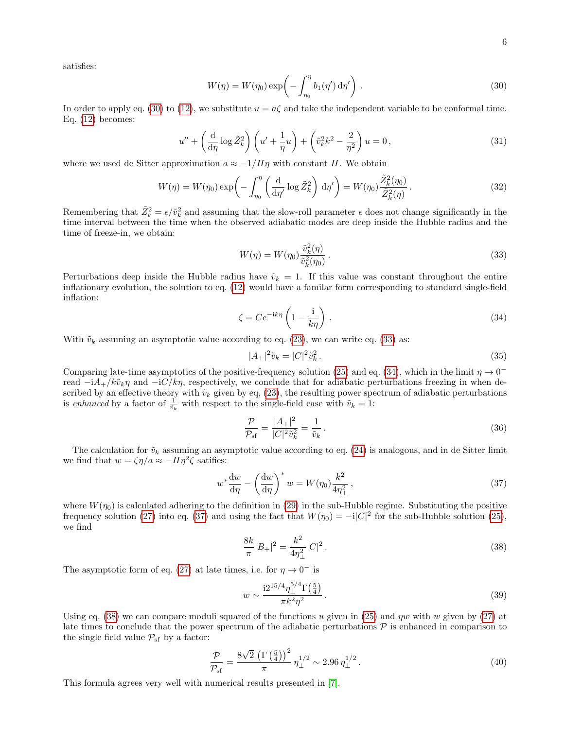satisfies:

<span id="page-5-0"></span>
$$
W(\eta) = W(\eta_0) \exp\left(-\int_{\eta_0}^{\eta} b_1(\eta') d\eta'\right).
$$
\n(30)

In order to apply eq. [\(30\)](#page-5-0) to [\(12\)](#page-2-2), we substitute  $u = a\zeta$  and take the independent variable to be conformal time. Eq.  $(12)$  becomes:

$$
u'' + \left(\frac{\mathrm{d}}{\mathrm{d}\eta}\log\tilde{Z}_k^2\right)\left(u' + \frac{1}{\eta}u\right) + \left(\tilde{v}_k^2k^2 - \frac{2}{\eta^2}\right)u = 0,\tag{31}
$$

where we used de Sitter approximation  $a \approx -1/H\eta$  with constant H. We obtain

$$
W(\eta) = W(\eta_0) \exp\left(-\int_{\eta_0}^{\eta} \left(\frac{\mathrm{d}}{\mathrm{d}\eta'}\log \tilde{Z}_k^2\right) \mathrm{d}\eta'\right) = W(\eta_0) \frac{\tilde{Z}_k^2(\eta_0)}{\tilde{Z}_k^2(\eta)}\,. \tag{32}
$$

Remembering that  $\tilde{Z}_k^2 = \epsilon/\tilde{v}_k^2$  and assuming that the slow-roll parameter  $\epsilon$  does not change significantly in the time interval between the time when the observed adiabatic modes are deep inside the Hubble radius and the time of freeze-in, we obtain:

<span id="page-5-1"></span>
$$
W(\eta) = W(\eta_0) \frac{\tilde{v}_k^2(\eta)}{\tilde{v}_k^2(\eta_0)}.
$$
\n(33)

Perturbations deep inside the Hubble radius have  $\tilde{v}_k = 1$ . If this value was constant throughout the entire inflationary evolution, the solution to eq. [\(12\)](#page-2-2) would have a familar form corresponding to standard single-field inflation:

<span id="page-5-2"></span>
$$
\zeta = Ce^{-ik\eta} \left( 1 - \frac{i}{k\eta} \right). \tag{34}
$$

With  $\tilde{v}_k$  assuming an asymptotic value according to eq. [\(23\)](#page-4-2), we can write eq. [\(33\)](#page-5-1) as:

$$
|A_{+}|^{2}\tilde{v}_{k} = |C|^{2}\tilde{v}_{k}^{2}. \tag{35}
$$

Comparing late-time asymptotics of the positive-frequency solution [\(25\)](#page-4-5) and eq. [\(34\)](#page-5-2), which in the limit  $\eta \to 0^$ read  $-iA_{+}/k\tilde{v}_{k}\eta$  and  $-iC/k\eta$ , respectively, we conclude that for adiabatic perturbations freezing in when described by an effective theory with  $\tilde{v}_k$  given by eq, [\(23\)](#page-4-2), the resulting power spectrum of adiabatic perturbations is enhanced by a factor of  $\frac{1}{\tilde{v}_k}$  with respect to the single-field case with  $\tilde{v}_k = 1$ :

<span id="page-5-6"></span>
$$
\frac{\mathcal{P}}{\mathcal{P}_{\text{sf}}} = \frac{|A_+|^2}{|C|^2 \tilde{v}_k^2} = \frac{1}{\tilde{v}_k} \,. \tag{36}
$$

The calculation for  $\tilde{v}_k$  assuming an asymptotic value according to eq. [\(24\)](#page-4-3) is analogous, and in de Sitter limit we find that  $w = \zeta \eta/a \approx -H\eta^2 \zeta$  satifies:

<span id="page-5-3"></span>
$$
w^* \frac{dw}{d\eta} - \left(\frac{dw}{d\eta}\right)^* w = W(\eta_0) \frac{k^2}{4\eta_\perp^2},\tag{37}
$$

where  $W(\eta_0)$  is calculated adhering to the definition in [\(29\)](#page-4-6) in the sub-Hubble regime. Substituting the positive frequency solution [\(27\)](#page-4-7) into eq. [\(37\)](#page-5-3) and using the fact that  $W(\eta_0) = -i|C|^2$  for the sub-Hubble solution [\(25\)](#page-4-5), we find

<span id="page-5-4"></span>
$$
\frac{8k}{\pi}|B_+|^2 = \frac{k^2}{4\eta_\perp^2}|C|^2.
$$
\n(38)

The asymptotic form of eq. [\(27\)](#page-4-7) at late times, i.e. for  $\eta \to 0^-$  is

$$
w \sim \frac{i2^{15/4} \eta_{\perp}^{5/4} \Gamma(\frac{5}{4})}{\pi k^2 \eta^2} \,. \tag{39}
$$

Using eq. [\(38\)](#page-5-4) we can compare moduli squared of the functions u given in [\(25\)](#page-4-5) and  $\eta w$  with w given by [\(27\)](#page-4-7) at late times to conclude that the power spectrum of the adiabatic perturbations  $\mathcal P$  is enhanced in comparison to the single field value  $P_{sf}$  by a factor:

<span id="page-5-5"></span>
$$
\frac{\mathcal{P}}{\mathcal{P}_{\rm sf}} = \frac{8\sqrt{2}\,\left(\Gamma\left(\frac{5}{4}\right)\right)^2}{\pi} \,\eta_{\perp}^{1/2} \sim 2.96 \,\eta_{\perp}^{1/2} \,. \tag{40}
$$

This formula agrees very well with numerical results presented in [\[7\]](#page-15-7).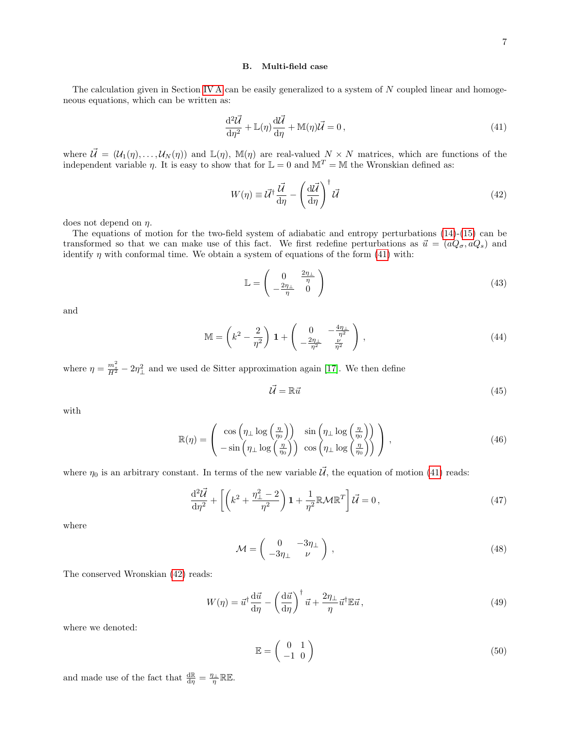# <span id="page-6-5"></span>B. Multi-field case

The calculation given in Section [IV A](#page-4-8) can be easily generalized to a system of N coupled linear and homogeneous equations, which can be written as:

<span id="page-6-0"></span>
$$
\frac{\mathrm{d}^2 \vec{\mathcal{U}}}{\mathrm{d}\eta^2} + \mathbb{L}(\eta) \frac{\mathrm{d}\vec{\mathcal{U}}}{\mathrm{d}\eta} + \mathbb{M}(\eta) \vec{\mathcal{U}} = 0, \qquad (41)
$$

where  $\vec{\mathcal{U}} = (\mathcal{U}_1(\eta), \dots, \mathcal{U}_N(\eta))$  and  $\mathbb{L}(\eta)$ ,  $\mathbb{M}(\eta)$  are real-valued  $N \times N$  matrices, which are functions of the independent variable  $\eta$ . It is easy to show that for  $\mathbb{L} = 0$  and  $\mathbb{M}^T = \mathbb{M}$  the Wronskian defined as:

<span id="page-6-1"></span>
$$
W(\eta) \equiv \vec{\mathcal{U}}^{\dagger} \frac{\vec{\mathcal{U}}}{d\eta} - \left(\frac{d\vec{\mathcal{U}}}{d\eta}\right)^{\dagger} \vec{\mathcal{U}} \tag{42}
$$

does not depend on  $\eta$ .

The equations of motion for the two-field system of adiabatic and entropy perturbations [\(14\)](#page-2-5)-[\(15\)](#page-2-5) can be transformed so that we can make use of this fact. We first redefine perturbations as  $\vec{u} = (aQ_{\sigma}, aQ_s)$  and identify  $\eta$  with conformal time. We obtain a system of equations of the form [\(41\)](#page-6-0) with:

<span id="page-6-3"></span>
$$
\mathbb{L} = \begin{pmatrix} 0 & \frac{2\eta_{\perp}}{\eta} \\ -\frac{2\eta_{\perp}}{\eta} & 0 \end{pmatrix} \tag{43}
$$

and

<span id="page-6-4"></span>
$$
\mathbb{M} = \left(k^2 - \frac{2}{\eta^2}\right) \mathbf{1} + \left(\begin{array}{cc} 0 & -\frac{4\eta_+}{\eta^2} \\ -\frac{2\eta_+}{\eta^2} & \frac{\nu}{\eta^2} \end{array}\right),\tag{44}
$$

where  $\eta = \frac{m_s^2}{H^2} - 2\eta_{\perp}^2$  and we used de Sitter approximation again [\[17\]](#page-15-8). We then define

$$
\vec{\mathcal{U}} = \mathbb{R}\vec{u} \tag{45}
$$

with

$$
\mathbb{R}(\eta) = \begin{pmatrix} \cos\left(\eta_{\perp}\log\left(\frac{\eta}{\eta_{0}}\right)\right) & \sin\left(\eta_{\perp}\log\left(\frac{\eta}{\eta_{0}}\right)\right) \\ -\sin\left(\eta_{\perp}\log\left(\frac{\eta}{\eta_{0}}\right)\right) & \cos\left(\eta_{\perp}\log\left(\frac{\eta}{\eta_{0}}\right)\right) \end{pmatrix},
$$
\n(46)

where  $\eta_0$  is an arbitrary constant. In terms of the new variable  $\vec{\mathcal{U}}$ , the equation of motion [\(41\)](#page-6-0) reads:

<span id="page-6-2"></span>
$$
\frac{\mathrm{d}^2 \vec{\mathcal{U}}}{\mathrm{d}\eta^2} + \left[ \left( k^2 + \frac{\eta_{\perp}^2 - 2}{\eta^2} \right) \mathbf{1} + \frac{1}{\eta^2} \mathbb{R} \mathcal{M} \mathbb{R}^T \right] \vec{\mathcal{U}} = 0, \tag{47}
$$

where

$$
\mathcal{M} = \begin{pmatrix} 0 & -3\eta_{\perp} \\ -3\eta_{\perp} & \nu \end{pmatrix},\tag{48}
$$

The conserved Wronskian [\(42\)](#page-6-1) reads:

$$
W(\eta) = \vec{u}^{\dagger} \frac{d\vec{u}}{d\eta} - \left(\frac{d\vec{u}}{d\eta}\right)^{\dagger} \vec{u} + \frac{2\eta_{\perp}}{\eta} \vec{u}^{\dagger} \mathbb{E}\vec{u},\tag{49}
$$

where we denoted:

$$
\mathbb{E} = \left(\begin{array}{cc} 0 & 1\\ -1 & 0 \end{array}\right) \tag{50}
$$

and made use of the fact that  $\frac{d\mathbb{R}}{d\eta} = \frac{\eta_{\perp}}{\eta} \mathbb{R} \mathbb{E}.$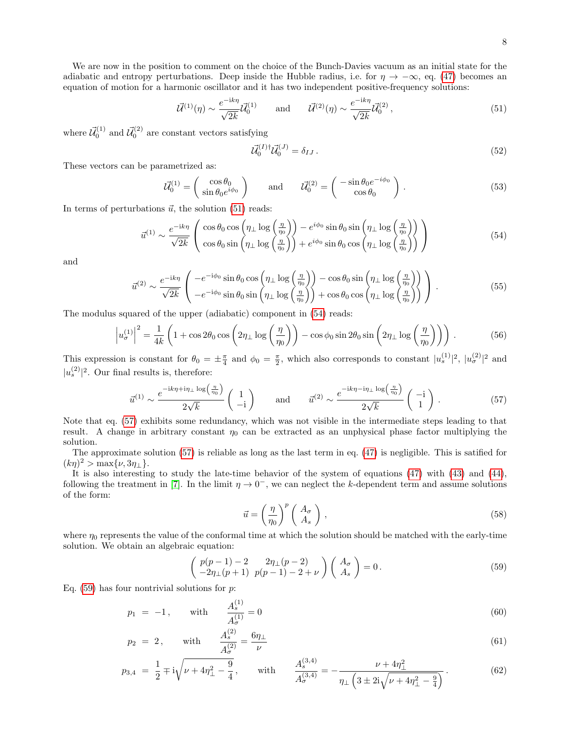We are now in the position to comment on the choice of the Bunch-Davies vacuum as an initial state for the adiabatic and entropy perturbations. Deep inside the Hubble radius, i.e. for  $\eta \to -\infty$ , eq. [\(47\)](#page-6-2) becomes an equation of motion for a harmonic oscillator and it has two independent positive-frequency solutions:

<span id="page-7-0"></span>
$$
\vec{U}^{(1)}(\eta) \sim \frac{e^{-ik\eta}}{\sqrt{2k}} \vec{U}_0^{(1)} \quad \text{and} \quad \vec{U}^{(2)}(\eta) \sim \frac{e^{-ik\eta}}{\sqrt{2k}} \vec{U}_0^{(2)}, \tag{51}
$$

where  $\vec{\mathcal{U}}_0^{(1)}$  and  $\vec{\mathcal{U}}_0^{(2)}$  are constant vectors satisfying

$$
\vec{\mathcal{U}}_0^{(I)\dagger} \vec{\mathcal{U}}_0^{(J)} = \delta_{IJ} \,. \tag{52}
$$

These vectors can be parametrized as:

<span id="page-7-5"></span>
$$
\vec{\mathcal{U}}_0^{(1)} = \begin{pmatrix} \cos \theta_0 \\ \sin \theta_0 e^{i\phi_0} \end{pmatrix} \quad \text{and} \quad \vec{\mathcal{U}}_0^{(2)} = \begin{pmatrix} -\sin \theta_0 e^{-i\phi_0} \\ \cos \theta_0 \end{pmatrix} . \tag{53}
$$

In terms of perturbations  $\vec{u}$ , the solution [\(51\)](#page-7-0) reads:

<span id="page-7-1"></span>
$$
\vec{u}^{(1)} \sim \frac{e^{-ik\eta}}{\sqrt{2k}} \left( \cos \theta_0 \cos \left( \eta_\perp \log \left( \frac{\eta}{\eta_0} \right) \right) - e^{i\phi_0} \sin \theta_0 \sin \left( \eta_\perp \log \left( \frac{\eta}{\eta_0} \right) \right) - e^{i\phi_0} \sin \theta_0 \cos \left( \eta_\perp \log \left( \frac{\eta}{\eta_0} \right) \right) \right) \tag{54}
$$

and

$$
\vec{u}^{(2)} \sim \frac{e^{-ik\eta}}{\sqrt{2k}} \begin{pmatrix} -e^{-i\phi_0} \sin \theta_0 \cos \left(\eta_\perp \log \left(\frac{\eta}{\eta_0}\right)\right) - \cos \theta_0 \sin \left(\eta_\perp \log \left(\frac{\eta}{\eta_0}\right)\right) \\ -e^{-i\phi_0} \sin \theta_0 \sin \left(\eta_\perp \log \left(\frac{\eta}{\eta_0}\right)\right) + \cos \theta_0 \cos \left(\eta_\perp \log \left(\frac{\eta}{\eta_0}\right)\right) \end{pmatrix} . \tag{55}
$$

The modulus squared of the upper (adiabatic) component in [\(54\)](#page-7-1) reads:

$$
\left| u_{\sigma}^{(1)} \right|^2 = \frac{1}{4k} \left( 1 + \cos 2\theta_0 \cos \left( 2\eta_{\perp} \log \left( \frac{\eta}{\eta_0} \right) \right) - \cos \phi_0 \sin 2\theta_0 \sin \left( 2\eta_{\perp} \log \left( \frac{\eta}{\eta_0} \right) \right) \right). \tag{56}
$$

This expression is constant for  $\theta_0 = \pm \frac{\pi}{4}$  and  $\phi_0 = \frac{\pi}{2}$ , which also corresponds to constant  $|u_s^{(1)}|^2$ ,  $|u_\sigma^{(2)}|^2$  and  $|u_s^{(2)}|^2$ . Our final results is, therefore:

<span id="page-7-2"></span>
$$
\vec{u}^{(1)} \sim \frac{e^{-ik\eta + i\eta_{\perp} \log\left(\frac{\eta}{\eta_0}\right)}}{2\sqrt{k}} \left(\begin{array}{c}1\\-i\end{array}\right) \quad \text{and} \quad \vec{u}^{(2)} \sim \frac{e^{-ik\eta - i\eta_{\perp} \log\left(\frac{\eta}{\eta_0}\right)}}{2\sqrt{k}} \left(\begin{array}{c} -i\\1 \end{array}\right). \tag{57}
$$

Note that eq. [\(57\)](#page-7-2) exhibits some redundancy, which was not visible in the intermediate steps leading to that result. A change in arbitrary constant  $\eta_0$  can be extracted as an unphysical phase factor multiplying the solution.

The approximate solution [\(57\)](#page-7-2) is reliable as long as the last term in eq. [\(47\)](#page-6-2) is negligible. This is satified for  $(k\eta)^2 > \max\{\nu, 3\eta_{\perp}\}.$ 

It is also interesting to study the late-time behavior of the system of equations [\(47\)](#page-6-2) with [\(43\)](#page-6-3) and [\(44\)](#page-6-4), following the treatment in [\[7\]](#page-15-7). In the limit  $\eta \to 0^-$ , we can neglect the k-dependent term and assume solutions of the form:

$$
\vec{u} = \left(\frac{\eta}{\eta_0}\right)^p \left(\begin{array}{c} A_{\sigma} \\ A_{s} \end{array}\right),\tag{58}
$$

where  $\eta_0$  represents the value of the conformal time at which the solution should be matched with the early-time solution. We obtain an algebraic equation:

<span id="page-7-3"></span>
$$
\begin{pmatrix}\np(p-1)-2 & 2\eta_{\perp}(p-2) \\
-2\eta_{\perp}(p+1) & p(p-1)-2+\nu\n\end{pmatrix}\n\begin{pmatrix}\nA_{\sigma} \\
A_{s}\n\end{pmatrix} = 0.
$$
\n(59)

Eq.  $(59)$  has four nontrivial solutions for p:

<span id="page-7-4"></span>
$$
p_1 = -1, \quad \text{with} \quad \frac{A_s^{(1)}}{A_\sigma^{(1)}} = 0 \tag{60}
$$

$$
p_2 = 2, \quad \text{with} \quad \frac{A_s^{(2)}}{A_\sigma^{(2)}} = \frac{6\eta_\perp}{\nu} \tag{61}
$$

$$
p_{3,4} = \frac{1}{2} \mp i\sqrt{\nu + 4\eta_{\perp}^2 - \frac{9}{4}}, \quad \text{with} \quad \frac{A_s^{(3,4)}}{A_{\sigma}^{(3,4)}} = -\frac{\nu + 4\eta_{\perp}^2}{\eta_{\perp}\left(3 \pm 2i\sqrt{\nu + 4\eta_{\perp}^2 - \frac{9}{4}}\right)}.
$$
(62)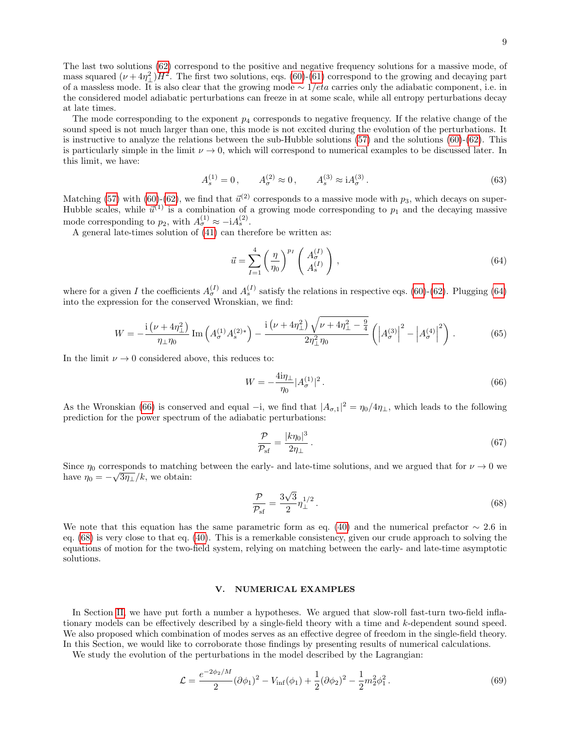The last two solutions [\(62\)](#page-7-4) correspond to the positive and negative frequency solutions for a massive mode, of mass squared  $(\nu + 4\eta_{\perp}^2)H^2$ . The first two solutions, eqs. [\(60\)](#page-7-4)-[\(61\)](#page-7-4) correspond to the growing and decaying part of a massless mode. It is also clear that the growing mode  $\sim 1/eta$  carries only the adiabatic component, i.e. in the considered model adiabatic perturbations can freeze in at some scale, while all entropy perturbations decay at late times.

The mode corresponding to the exponent  $p_4$  corresponds to negative frequency. If the relative change of the sound speed is not much larger than one, this mode is not excited during the evolution of the perturbations. It is instructive to analyze the relations between the sub-Hubble solutions [\(57\)](#page-7-2) and the solutions [\(60\)](#page-7-4)-[\(62\)](#page-7-4). This is particularly simple in the limit  $\nu \to 0$ , which will correspond to numerical examples to be discussed later. In this limit, we have:

$$
A_s^{(1)} = 0, \qquad A_\sigma^{(2)} \approx 0, \qquad A_s^{(3)} \approx \mathrm{i}A_\sigma^{(3)}.
$$
 (63)

Matching [\(57\)](#page-7-2) with [\(60\)](#page-7-4)-[\(62\)](#page-7-4), we find that  $\vec{u}^{(2)}$  corresponds to a massive mode with  $p_3$ , which decays on super-Hubble scales, while  $\vec{u}^{(1)}$  is a combination of a growing mode corresponding to  $p_1$  and the decaying massive mode corresponding to  $p_2$ , with  $A_{\sigma}^{(1)} \approx -iA_s^{(2)}$ .

A general late-times solution of [\(41\)](#page-6-0) can therefore be written as:

<span id="page-8-1"></span>
$$
\vec{u} = \sum_{I=1}^{4} \left(\frac{\eta}{\eta_0}\right)^{p_I} \left(\begin{array}{c} A_{\sigma}^{(I)}\\ A_s^{(I)} \end{array}\right),\tag{64}
$$

where for a given I the coefficients  $A_{\sigma}^{(I)}$  and  $A_{s}^{(I)}$  satisfy the relations in respective eqs. [\(60\)](#page-7-4)-[\(62\)](#page-7-4). Plugging [\(64\)](#page-8-1) into the expression for the conserved Wronskian, we find:

$$
W = -\frac{\mathrm{i}\left(\nu + 4\eta_{\perp}^{2}\right)}{\eta_{\perp}\eta_{0}}\,\mathrm{Im}\left(A_{\sigma}^{(1)}A_{s}^{(2)*}\right) - \frac{\mathrm{i}\left(\nu + 4\eta_{\perp}^{2}\right)\sqrt{\nu + 4\eta_{\perp}^{2} - \frac{9}{4}}}{2\eta_{\perp}^{2}\eta_{0}}\left(\left|A_{\sigma}^{(3)}\right|^{2} - \left|A_{\sigma}^{(4)}\right|^{2}\right). \tag{65}
$$

In the limit  $\nu \to 0$  considered above, this reduces to:

<span id="page-8-2"></span>
$$
W = -\frac{4i\eta_{\perp}}{\eta_0} |A_{\sigma}^{(1)}|^2.
$$
\n(66)

As the Wronskian [\(66\)](#page-8-2) is conserved and equal –i, we find that  $|A_{\sigma,1}|^2 = \eta_0/4\eta_1$ , which leads to the following prediction for the power spectrum of the adiabatic perturbations:

$$
\frac{\mathcal{P}}{\mathcal{P}_{\text{sf}}} = \frac{|k\eta_0|^3}{2\eta_\perp} \,. \tag{67}
$$

Since  $\eta_0$  corresponds to matching between the early- and late-time solutions, and we argued that for  $\nu \to 0$  we have  $\eta_0 = -\sqrt{3\eta_{\perp}}/k$ , we obtain:

<span id="page-8-3"></span>
$$
\frac{\mathcal{P}}{\mathcal{P}_{\text{sf}}} = \frac{3\sqrt{3}}{2} \eta_{\perp}^{1/2} \,. \tag{68}
$$

We note that this equation has the same parametric form as eq. [\(40\)](#page-5-5) and the numerical prefactor  $\sim 2.6$  in eq. [\(68\)](#page-8-3) is very close to that eq. [\(40\)](#page-5-5). This is a remerkable consistency, given our crude approach to solving the equations of motion for the two-field system, relying on matching between the early- and late-time asymptotic solutions.

## <span id="page-8-0"></span>V. NUMERICAL EXAMPLES

In Section [II,](#page-1-0) we have put forth a number a hypotheses. We argued that slow-roll fast-turn two-field inflationary models can be effectively described by a single-field theory with a time and k-dependent sound speed. We also proposed which combination of modes serves as an effective degree of freedom in the single-field theory. In this Section, we would like to corroborate those findings by presenting results of numerical calculations.

We study the evolution of the perturbations in the model described by the Lagrangian:

<span id="page-8-4"></span>
$$
\mathcal{L} = \frac{e^{-2\phi_2/M}}{2} (\partial \phi_1)^2 - V_{\text{inf}}(\phi_1) + \frac{1}{2} (\partial \phi_2)^2 - \frac{1}{2} m_2^2 \phi_1^2. \tag{69}
$$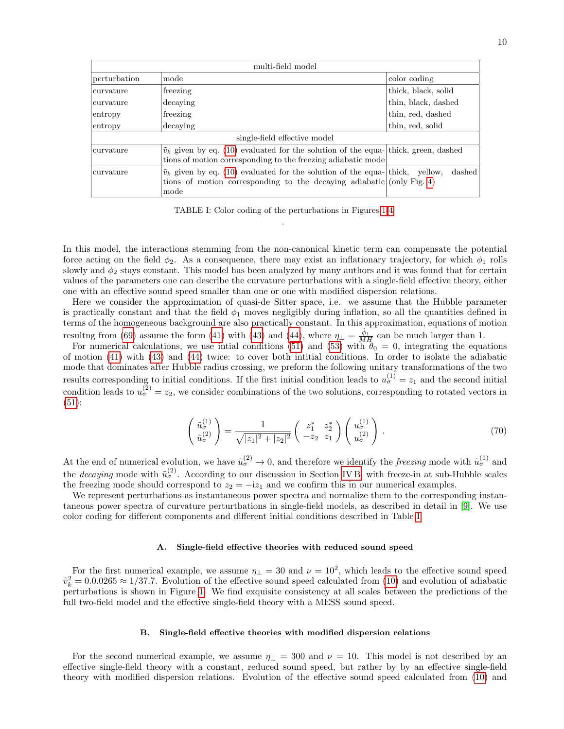| multi-field model            |                                                                                                                                                                         |                     |
|------------------------------|-------------------------------------------------------------------------------------------------------------------------------------------------------------------------|---------------------|
| perturbation                 | mode                                                                                                                                                                    | color coding        |
| curvature                    | freezing                                                                                                                                                                | thick, black, solid |
| curvature                    | decaying                                                                                                                                                                | thin, black, dashed |
| entropy                      | freezing                                                                                                                                                                | thin, red, dashed   |
| entropy                      | decaying                                                                                                                                                                | thin, red, solid    |
| single-field effective model |                                                                                                                                                                         |                     |
| curvature                    | $\tilde{v}_k$ given by eq. (10) evaluated for the solution of the equa- thick, green, dashed<br>tions of motion corresponding to the freezing adiabatic mode            |                     |
| curvature                    | $\tilde{v}_k$ given by eq. (10) evaluated for the solution of the equa- thick, yellow,<br>tions of motion corresponding to the decaying adiabatic (only Fig. 4)<br>mode | dashed              |

<span id="page-9-0"></span>TABLE I: Color coding of the perturbations in Figures [1](#page-10-0)[-4](#page-12-1) .

In this model, the interactions stemming from the non-canonical kinetic term can compensate the potential force acting on the field  $\phi_2$ . As a consequence, there may exist an inflationary trajectory, for which  $\phi_1$  rolls slowly and  $\phi_2$  stays constant. This model has been analyzed by many authors and it was found that for certain values of the parameters one can describe the curvature perturbations with a single-field effective theory, either one with an effective sound speed smaller than one or one with modified dispersion relations.

Here we consider the approximation of quasi-de Sitter space, i.e. we assume that the Hubble parameter is practically constant and that the field  $\phi_1$  moves negligibly during inflation, so all the quantities defined in terms of the homogeneous background are also practically constant. In this approximation, equations of motion resultng from [\(69\)](#page-8-4) assume the form [\(41\)](#page-6-0) with [\(43\)](#page-6-3) and [\(44\)](#page-6-4), where  $\eta_{\perp} = \frac{\dot{\phi}_1}{MH}$  can be much larger than 1.

For numerical calculations, we use initial conditions [\(51\)](#page-7-0) and [\(53\)](#page-7-5) with  $\theta_0 = 0$ , integrating the equations of motion [\(41\)](#page-6-0) with [\(43\)](#page-6-3) and [\(44\)](#page-6-4) twice: to cover both intitial conditions. In order to isolate the adiabatic mode that dominates after Hubble radius crossing, we preform the following unitary transformations of the two results corresponding to initial conditions. If the first initial condition leads to  $u_{\sigma}^{(1)} = z_1$  and the second initial condition leads to  $u_{\sigma}^{(2)} = z_2$ , we consider combinations of the two solutions, corresponding to rotated vectors in [\(51\)](#page-7-0):

$$
\begin{pmatrix} \tilde{u}_{\sigma}^{(1)} \\ \tilde{u}_{\sigma}^{(2)} \end{pmatrix} = \frac{1}{\sqrt{|z_1|^2 + |z_2|^2}} \begin{pmatrix} z_1^* & z_2^* \\ -z_2 & z_1 \end{pmatrix} \begin{pmatrix} u_{\sigma}^{(1)} \\ u_{\sigma}^{(2)} \end{pmatrix} . \tag{70}
$$

At the end of numerical evolution, we have  $\tilde{u}_{\sigma}^{(2)} \to 0$ , and therefore we identify the *freezing* mode with  $\tilde{u}_{\sigma}^{(1)}$  and the *decaying* mode with  $\tilde{u}_{\sigma}^{(2)}$ . According to our discussion in Section [IV B,](#page-6-5) with freeze-in at sub-Hubble scales the freezing mode should correspond to  $z_2 = -iz_1$  and we confirm this in our numerical examples.

We represent perturbations as instantaneous power spectra and normalize them to the corresponding instantaneous power spectra of curvature perturtbations in single-field models, as described in detail in [\[9\]](#page-15-9). We use color coding for different components and different initial conditions described in Table [I.](#page-9-0)

# <span id="page-9-1"></span>A. Single-field effective theories with reduced sound speed

For the first numerical example, we assume  $\eta_{\perp} = 30$  and  $\nu = 10^2$ , which leads to the effective sound speed  $\tilde{v}_k^2 = 0.0.0265 \approx 1/37.7$ . Evolution of the effective sound speed calculated from [\(10\)](#page-2-3) and evolution of adiabatic perturbations is shown in Figure [1.](#page-10-0) We find exquisite consistency at all scales between the predictions of the full two-field model and the effective single-field theory with a MESS sound speed.

#### <span id="page-9-2"></span>B. Single-field effective theories with modified dispersion relations

For the second numerical example, we assume  $\eta_{\perp} = 300$  and  $\nu = 10$ . This model is not described by an effective single-field theory with a constant, reduced sound speed, but rather by by an effective single-field theory with modified dispersion relations. Evolution of the effective sound speed calculated from [\(10\)](#page-2-3) and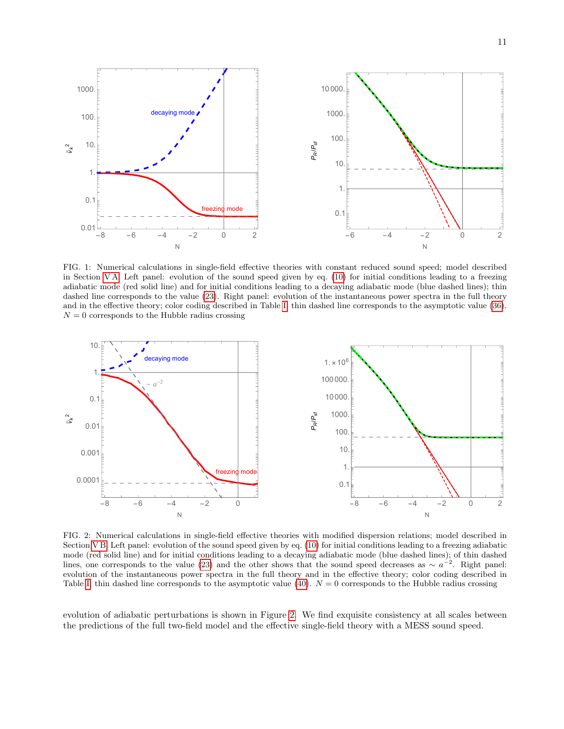

<span id="page-10-0"></span>FIG. 1: Numerical calculations in single-field effective theories with constant reduced sound speed; model described in Section [V A.](#page-9-1) Left panel: evolution of the sound speed given by eq. [\(10\)](#page-2-3) for initial conditions leading to a freezing adiabatic mode (red solid line) and for initial conditions leading to a decaying adiabatic mode (blue dashed lines); thin dashed line corresponds to the value [\(23\)](#page-4-2). Right panel: evolution of the instantaneous power spectra in the full theory and in the effective theory; color coding described in Table [I;](#page-9-0) thin dashed line corresponds to the asymptotic value [\(36\)](#page-5-6).  $N = 0$  corresponds to the Hubble radius crossing



<span id="page-10-1"></span>FIG. 2: Numerical calculations in single-field effective theories with modified dispersion relations; model described in Section [V B.](#page-9-2) Left panel: evolution of the sound speed given by eq. [\(10\)](#page-2-3) for initial conditions leading to a freezing adiabatic mode (red solid line) and for initial conditions leading to a decaying adiabatic mode (blue dashed lines); of thin dashed lines, one corresponds to the value [\(23\)](#page-4-2) and the other shows that the sound speed decreases as  $\sim a^{-2}$ . Right panel: evolution of the instantaneous power spectra in the full theory and in the effective theory; color coding described in Table [I;](#page-9-0) thin dashed line corresponds to the asymptotic value [\(40\)](#page-5-5).  $N = 0$  corresponds to the Hubble radius crossing

evolution of adiabatic perturbations is shown in Figure [2.](#page-10-1) We find exquisite consistency at all scales between the predictions of the full two-field model and the effective single-field theory with a MESS sound speed.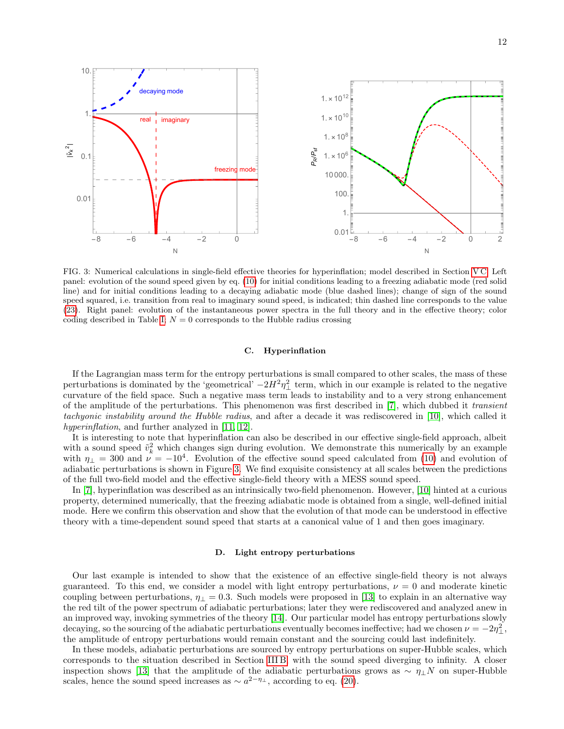

<span id="page-11-1"></span>FIG. 3: Numerical calculations in single-field effective theories for hyperinflation; model described in Section [V C.](#page-11-0) Left panel: evolution of the sound speed given by eq. [\(10\)](#page-2-3) for initial conditions leading to a freezing adiabatic mode (red solid line) and for initial conditions leading to a decaying adiabatic mode (blue dashed lines); change of sign of the sound speed squared, i.e. transition from real to imaginary sound speed, is indicated; thin dashed line corresponds to the value [\(23\)](#page-4-2). Right panel: evolution of the instantaneous power spectra in the full theory and in the effective theory; color coding described in Table [I;](#page-9-0)  $N = 0$  corresponds to the Hubble radius crossing

### <span id="page-11-0"></span>C. Hyperinflation

If the Lagrangian mass term for the entropy perturbations is small compared to other scales, the mass of these perturbations is dominated by the 'geometrical'  $-2H^2\eta_{\perp}^2$  term, which in our example is related to the negative curvature of the field space. Such a negative mass term leads to instability and to a very strong enhancement of the amplitude of the perturbations. This phenomenon was first described in [\[7\]](#page-15-7), which dubbed it transient tachyonic instability around the Hubble radius, and after a decade it was rediscovered in [\[10\]](#page-15-10), which called it hyperinflation, and further analyzed in [\[11,](#page-15-11) [12\]](#page-15-12).

It is interesting to note that hyperinflation can also be described in our effective single-field approach, albeit with a sound speed  $\tilde{v}_k^2$  which changes sign during evolution. We demonstrate this numerically by an example with  $\eta_{\perp} = 300$  and  $\nu = -10^4$ . Evolution of the effective sound speed calculated from [\(10\)](#page-2-3) and evolution of adiabatic perturbations is shown in Figure [3.](#page-11-1) We find exquisite consistency at all scales between the predictions of the full two-field model and the effective single-field theory with a MESS sound speed.

In [\[7\]](#page-15-7), hyperinflation was described as an intrinsically two-field phenomenon. However, [\[10\]](#page-15-10) hinted at a curious property, determined numerically, that the freezing adiabatic mode is obtained from a single, well-defined initial mode. Here we confirm this observation and show that the evolution of that mode can be understood in effective theory with a time-dependent sound speed that starts at a canonical value of 1 and then goes imaginary.

#### <span id="page-11-2"></span>D. Light entropy perturbations

Our last example is intended to show that the existence of an effective single-field theory is not always guaranteed. To this end, we consider a model with light entropy perturbations,  $\nu = 0$  and moderate kinetic coupling between perturbations,  $\eta_{\perp} = 0.3$ . Such models were proposed in [\[13\]](#page-15-13) to explain in an alternative way the red tilt of the power spectrum of adiabatic perturbations; later they were rediscovered and analyzed anew in an improved way, invoking symmetries of the theory [\[14\]](#page-15-14). Our particular model has entropy perturbations slowly decaying, so the sourcing of the adiabatic perturbations eventually becomes ineffective; had we chosen  $\nu = -2\eta_{\perp}^2$ , the amplitude of entropy perturbations would remain constant and the sourcing could last indefinitely.

In these models, adiabatic perturbations are sourced by entropy perturbations on super-Hubble scales, which corresponds to the situation described in Section [III B,](#page-3-3) with the sound speed diverging to infinity. A closer inspection shows [\[13\]](#page-15-13) that the amplitude of the adiabatic perturbations grows as  $\sim \eta_{\perp} N$  on super-Hubble scales, hence the sound speed increases as  $\sim a^{2-\eta_{\perp}}$ , according to eq. [\(20\)](#page-3-1).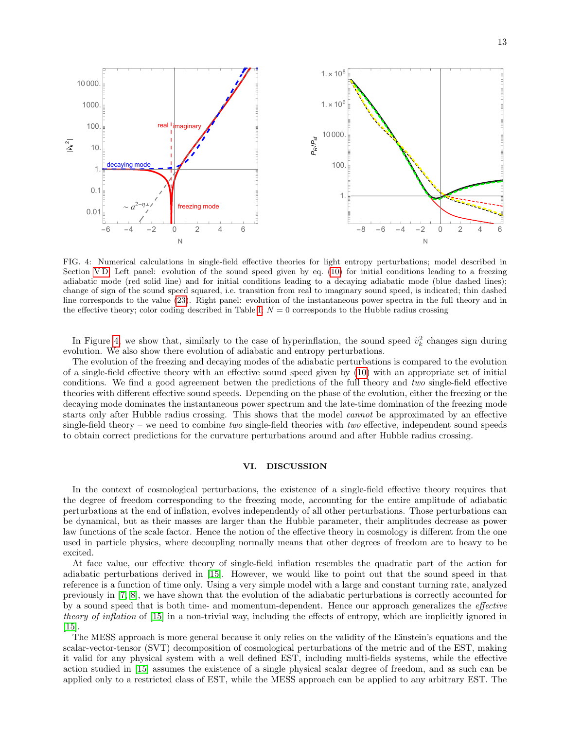

<span id="page-12-1"></span>FIG. 4: Numerical calculations in single-field effective theories for light entropy perturbations; model described in Section [V D.](#page-11-2) Left panel: evolution of the sound speed given by eq. [\(10\)](#page-2-3) for initial conditions leading to a freezing adiabatic mode (red solid line) and for initial conditions leading to a decaying adiabatic mode (blue dashed lines); change of sign of the sound speed squared, i.e. transition from real to imaginary sound speed, is indicated; thin dashed line corresponds to the value [\(23\)](#page-4-2). Right panel: evolution of the instantaneous power spectra in the full theory and in the effective theory; color coding described in Table [I;](#page-9-0)  $N = 0$  corresponds to the Hubble radius crossing

In Figure [4,](#page-12-1) we show that, similarly to the case of hyperinflation, the sound speed  $\tilde{v}_k^2$  changes sign during evolution. We also show there evolution of adiabatic and entropy perturbations.

The evolution of the freezing and decaying modes of the adiabatic perturbations is compared to the evolution of a single-field effective theory with an effective sound speed given by [\(10\)](#page-2-3) with an appropriate set of initial conditions. We find a good agreement betwen the predictions of the full theory and two single-field effective theories with different effective sound speeds. Depending on the phase of the evolution, either the freezing or the decaying mode dominates the instantaneous power spectrum and the late-time domination of the freezing mode starts only after Hubble radius crossing. This shows that the model cannot be approximated by an effective single-field theory – we need to combine two single-field theories with two effective, independent sound speeds to obtain correct predictions for the curvature perturbations around and after Hubble radius crossing.

# <span id="page-12-0"></span>VI. DISCUSSION

In the context of cosmological perturbations, the existence of a single-field effective theory requires that the degree of freedom corresponding to the freezing mode, accounting for the entire amplitude of adiabatic perturbations at the end of inflation, evolves independently of all other perturbations. Those perturbations can be dynamical, but as their masses are larger than the Hubble parameter, their amplitudes decrease as power law functions of the scale factor. Hence the notion of the effective theory in cosmology is different from the one used in particle physics, where decoupling normally means that other degrees of freedom are to heavy to be excited.

At face value, our effective theory of single-field inflation resembles the quadratic part of the action for adiabatic perturbations derived in [\[15\]](#page-15-15). However, we would like to point out that the sound speed in that reference is a function of time only. Using a very simple model with a large and constant turning rate, analyzed previously in [\[7,](#page-15-7) [8\]](#page-15-6), we have shown that the evolution of the adiabatic perturbations is correctly accounted for by a sound speed that is both time- and momentum-dependent. Hence our approach generalizes the *effective* theory of inflation of [\[15\]](#page-15-15) in a non-trivial way, including the effects of entropy, which are implicitly ignored in [\[15\]](#page-15-15).

The MESS approach is more general because it only relies on the validity of the Einstein's equations and the scalar-vector-tensor (SVT) decomposition of cosmological perturbations of the metric and of the EST, making it valid for any physical system with a well defined EST, including multi-fields systems, while the effective action studied in [\[15\]](#page-15-15) assumes the existence of a single physical scalar degree of freedom, and as such can be applied only to a restricted class of EST, while the MESS approach can be applied to any arbitrary EST. The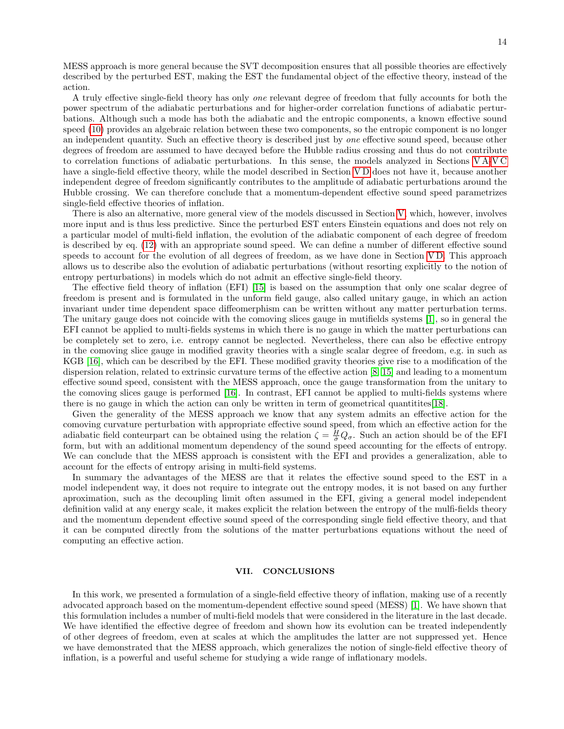MESS approach is more general because the SVT decomposition ensures that all possible theories are effectively described by the perturbed EST, making the EST the fundamental object of the effective theory, instead of the action.

A truly effective single-field theory has only one relevant degree of freedom that fully accounts for both the power spectrum of the adiabatic perturbations and for higher-order correlation functions of adiabatic perturbations. Although such a mode has both the adiabatic and the entropic components, a known effective sound speed [\(10\)](#page-2-3) provides an algebraic relation between these two components, so the entropic component is no longer an independent quantity. Such an effective theory is described just by one effective sound speed, because other degrees of freedom are assumed to have decayed before the Hubble radius crossing and thus do not contribute to correlation functions of adiabatic perturbations. In this sense, the models analyzed in Sections [V A-](#page-9-1)[V C](#page-11-0) have a single-field effective theory, while the model described in Section VD does not have it, because another independent degree of freedom significantly contributes to the amplitude of adiabatic perturbations around the Hubble crossing. We can therefore conclude that a momentum-dependent effective sound speed parametrizes single-field effective theories of inflation.

There is also an alternative, more general view of the models discussed in Section [V,](#page-8-0) which, however, involves more input and is thus less predictive. Since the perturbed EST enters Einstein equations and does not rely on a particular model of multi-field inflation, the evolution of the adiabatic component of each degree of freedom is described by eq. [\(12\)](#page-2-2) with an appropriate sound speed. We can define a number of different effective sound speeds to account for the evolution of all degrees of freedom, as we have done in Section [V D.](#page-11-2) This approach allows us to describe also the evolution of adiabatic perturbations (without resorting explicitly to the notion of entropy perturbations) in models which do not admit an effective single-field theory.

The effective field theory of inflation (EFI) [\[15\]](#page-15-15) is based on the assumption that only one scalar degree of freedom is present and is formulated in the unform field gauge, also called unitary gauge, in which an action invariant under time dependent space diffeomerphism can be written without any matter perturbation terms. The unitary gauge does not coincide with the comoving slices gauge in mutifields systems [\[1\]](#page-15-0), so in general the EFI cannot be applied to multi-fields systems in which there is no gauge in which the matter perturbations can be completely set to zero, i.e. entropy cannot be neglected. Nevertheless, there can also be effective entropy in the comoving slice gauge in modified gravity theories with a single scalar degree of freedom, e.g. in such as KGB [\[16\]](#page-15-16), which can be described by the EFI. These modified gravity theories give rise to a modification of the dispersion relation, related to extrinsic curvature terms of the effective action [\[8,](#page-15-6) [15\]](#page-15-15) and leading to a momentum effective sound speed, consistent with the MESS approach, once the gauge transformation from the unitary to the comoving slices gauge is performed [\[16\]](#page-15-16). In contrast, EFI cannot be applied to multi-fields systems where there is no gauge in which the action can only be written in term of geometrical quantitites[\[18\]](#page-15-17).

Given the generality of the MESS approach we know that any system admits an effective action for the comoving curvature perturbation with appropriate effective sound speed, from which an effective action for the adiabatic field conteurpart can be obtained using the relation  $\zeta = \frac{H}{\sigma} Q_{\sigma}$ . Such an action should be of the EFI form, but with an additional momentum dependency of the sound speed accounting for the effects of entropy. We can conclude that the MESS approach is consistent with the EFI and provides a generalization, able to account for the effects of entropy arising in multi-field systems.

In summary the advantages of the MESS are that it relates the effective sound speed to the EST in a model independent way, it does not require to integrate out the entropy modes, it is not based on any further aproximation, such as the decoupling limit often assumed in the EFI, giving a general model independent definition valid at any energy scale, it makes explicit the relation between the entropy of the mulfi-fields theory and the momentum dependent effective sound speed of the corresponding single field effective theory, and that it can be computed directly from the solutions of the matter perturbations equations without the need of computing an effective action.

# <span id="page-13-0"></span>VII. CONCLUSIONS

In this work, we presented a formulation of a single-field effective theory of inflation, making use of a recently advocated approach based on the momentum-dependent effective sound speed (MESS) [\[1\]](#page-15-0). We have shown that this formulation includes a number of multi-field models that were considered in the literature in the last decade. We have identified the effective degree of freedom and shown how its evolution can be treated independently of other degrees of freedom, even at scales at which the amplitudes the latter are not suppressed yet. Hence we have demonstrated that the MESS approach, which generalizes the notion of single-field effective theory of inflation, is a powerful and useful scheme for studying a wide range of inflationary models.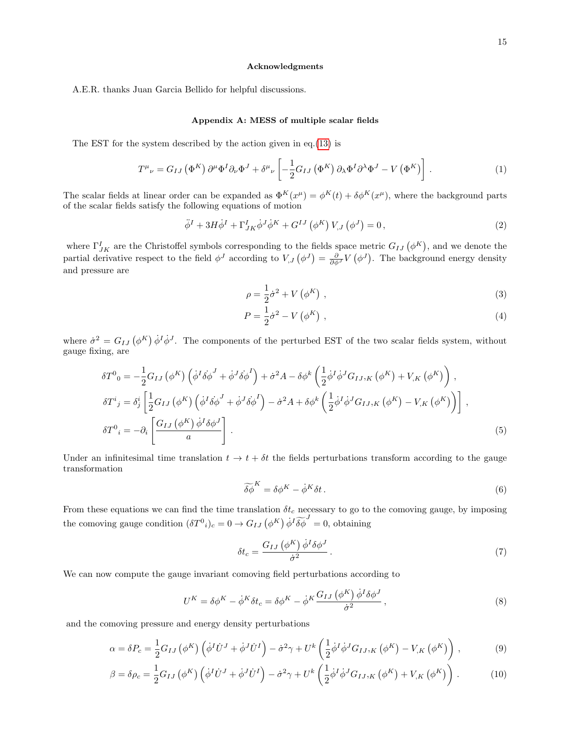A.E.R. thanks Juan Garcia Bellido for helpful discussions.

## Appendix A: MESS of multiple scalar fields

The EST for the system described by the action given in eq.[\(13\)](#page-2-4) is

$$
T^{\mu}{}_{\nu} = G_{IJ} \left( \Phi^{K} \right) \partial^{\mu} \Phi^{I} \partial_{\nu} \Phi^{J} + \delta^{\mu}{}_{\nu} \left[ -\frac{1}{2} G_{IJ} \left( \Phi^{K} \right) \partial_{\lambda} \Phi^{I} \partial^{\lambda} \Phi^{J} - V \left( \Phi^{K} \right) \right]. \tag{1}
$$

The scalar fields at linear order can be expanded as  $\Phi^K(x^{\mu}) = \phi^K(t) + \delta \phi^K(x^{\mu})$ , where the background parts of the scalar fields satisfy the following equations of motion

<span id="page-14-1"></span>
$$
\ddot{\phi}^{I} + 3H\dot{\phi}^{I} + \Gamma_{JK}^{I}\dot{\phi}^{J}\dot{\phi}^{K} + G^{IJ}(\phi^{K})V_{,J}(\phi^{J}) = 0, \qquad (2)
$$

where  $\Gamma^I_{JK}$  are the Christoffel symbols corresponding to the fields space metric  $G_{IJ}(\phi^K)$ , and we denote the partial derivative respect to the field  $\phi^J$  according to  $V_{,J}(\phi^J) = \frac{\partial}{\partial \phi^J} V(\phi^J)$ . The background energy density and pressure are

$$
\rho = \frac{1}{2}\dot{\sigma}^2 + V\left(\phi^K\right) \,,\tag{3}
$$

$$
P = \frac{1}{2}\dot{\sigma}^2 - V(\phi^K) \tag{4}
$$

where  $\dot{\sigma}^2 = G_{IJ} (\phi^K) \dot{\phi}^I \dot{\phi}^J$ . The components of the perturbed EST of the two scalar fields system, without gauge fixing, are

$$
\delta T^{0}{}_{0} = -\frac{1}{2}G_{IJ}\left(\phi^{K}\right)\left(\dot{\phi}^{I}\dot{\delta\phi}^{J} + \dot{\phi}^{J}\dot{\delta\phi}^{I}\right) + \dot{\sigma}^{2}A - \delta\phi^{k}\left(\frac{1}{2}\dot{\phi}^{I}\dot{\phi}^{J}G_{IJ,K}\left(\phi^{K}\right) + V_{,K}\left(\phi^{K}\right)\right),
$$
  
\n
$$
\delta T^{i}{}_{j} = \delta^{i}_{j}\left[\frac{1}{2}G_{IJ}\left(\phi^{K}\right)\left(\dot{\phi}^{I}\dot{\delta\phi}^{J} + \dot{\phi}^{J}\dot{\delta\phi}^{I}\right) - \dot{\sigma}^{2}A + \delta\phi^{k}\left(\frac{1}{2}\dot{\phi}^{I}\dot{\phi}^{J}G_{IJ,K}\left(\phi^{K}\right) - V_{,K}\left(\phi^{K}\right)\right)\right],
$$
  
\n
$$
\delta T^{0}{}_{i} = -\partial_{i}\left[\frac{G_{IJ}\left(\phi^{K}\right)\dot{\phi}^{I}\delta\phi^{J}}{a}\right].
$$
\n(5)

Under an infinitesimal time translation  $t \to t + \delta t$  the fields perturbations transform according to the gauge transformation

$$
\widetilde{\delta\phi}^K = \delta\phi^K - \dot{\phi}^K \delta t. \tag{6}
$$

From these equations we can find the time translation  $\delta t_c$  necessary to go to the comoving gauge, by imposing the comoving gauge condition  $(\delta T^0{}_i)_c = 0 \to G_{IJ} (\phi^K) \dot{\phi}^I \widetilde{\delta \phi}^J = 0$ , obtaining

$$
\delta t_c = \frac{G_{IJ} \left(\phi^K\right) \dot{\phi}^I \delta \phi^J}{\dot{\sigma}^2} \,. \tag{7}
$$

We can now compute the gauge invariant comoving field perturbations according to

<span id="page-14-0"></span>
$$
U^{K} = \delta \phi^{K} - \dot{\phi}^{K} \delta t_{c} = \delta \phi^{K} - \dot{\phi}^{K} \frac{G_{IJ}(\phi^{K})}{\dot{\phi}^{2}} , \qquad (8)
$$

and the comoving pressure and energy density perturbations

$$
\alpha = \delta P_c = \frac{1}{2} G_{IJ} \left( \phi^K \right) \left( \dot{\phi}^I \dot{U}^J + \dot{\phi}^J \dot{U}^I \right) - \dot{\sigma}^2 \gamma + U^k \left( \frac{1}{2} \dot{\phi}^I \dot{\phi}^J G_{IJ,K} \left( \phi^K \right) - V_{,K} \left( \phi^K \right) \right),\tag{9}
$$

$$
\beta = \delta \rho_c = \frac{1}{2} G_{IJ} \left( \phi^K \right) \left( \dot{\phi}^I \dot{U}^J + \dot{\phi}^J \dot{U}^I \right) - \dot{\sigma}^2 \gamma + U^k \left( \frac{1}{2} \dot{\phi}^I \dot{\phi}^J G_{IJ,K} \left( \phi^K \right) + V_{,K} \left( \phi^K \right) \right) . \tag{10}
$$